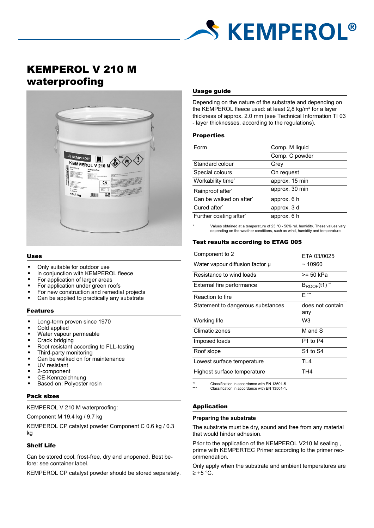

# KEMPEROL V 210 M waterproofing



#### Uses

- Only suitable for outdoor use
- in conjunction with KEMPEROL fleece
- For application of larger areas
- For application under green roofs
- For new construction and remedial projects
- Can be applied to practically any substrate

#### Features

- Long-term proven since 1970
- Cold applied
- Water vapour permeable
- Crack bridging
- Root resistant according to FLL-testing
- Third-party monitoring
- Can be walked on for maintenance
- UV resistant
- 2-component
- CE-Kennzeichnung
- Based on: Polyester resin

#### Pack sizes

## KEMPEROL V 210 M waterproofing:

Component M 19.4 kg / 9.7 kg

KEMPEROL CP catalyst powder Component C 0.6 kg / 0.3 kg

## Shelf Life

Can be stored cool, frost-free, dry and unopened. Best before: see container label.

KEMPEROL CP catalyst powder should be stored separately.

#### Usage guide

Depending on the nature of the substrate and depending on the KEMPEROL fleece used: at least 2,8 kg/m² for a layer thickness of approx. 2.0 mm (see Technical Information TI 03 - layer thicknesses, according to the regulations).

#### **Properties**

| Form                    | Comp. M liquid |  |
|-------------------------|----------------|--|
|                         | Comp. C powder |  |
| Standard colour         | Grev           |  |
| Special colours         | On request     |  |
| Workability time*       | approx. 15 min |  |
| Rainproof after*        | approx. 30 min |  |
| Can be walked on after* | approx. 6 h    |  |
| Cured after*            | approx. 3 d    |  |
| Further coating after*  | approx. 6 h    |  |
|                         |                |  |

Values obtained at a temperature of 23 °C - 50% rel. humidity. These values vary depending on the weather conditions, such as wind, humidity and temperature.

#### Test results according to ETAG 005

| Component to 2                    | FTA 03/0025                  |
|-----------------------------------|------------------------------|
| Water vapour diffusion factor µ   | ~10960                       |
| Resistance to wind loads          | >= 50 kPa                    |
| External fire performance         | $B_{ROOF}(t1)$ <sup>**</sup> |
| Reaction to fire                  | F ***                        |
| Statement to dangerous substances | does not contain<br>any      |
|                                   |                              |
| Working life                      | W3                           |
| Climatic zones                    | M and S                      |
| Imposed loads                     | <b>P1 to P4</b>              |
| Roof slope                        | <b>S1 to S4</b>              |
| Lowest surface temperature        | TI 4                         |
| Highest surface temperature       | TH4                          |
|                                   |                              |

Classification in accordance with EN 13501-5 Classification in accordance with EN 13501-1.

#### Application

#### **Preparing the substrate**

The substrate must be dry, sound and free from any material that would hinder adhesion.

Prior to the application of the KEMPEROL V210 M sealing , prime with KEMPERTEC Primer according to the primer recommendation.

Only apply when the substrate and ambient temperatures are  $\geq$  +5 °C.